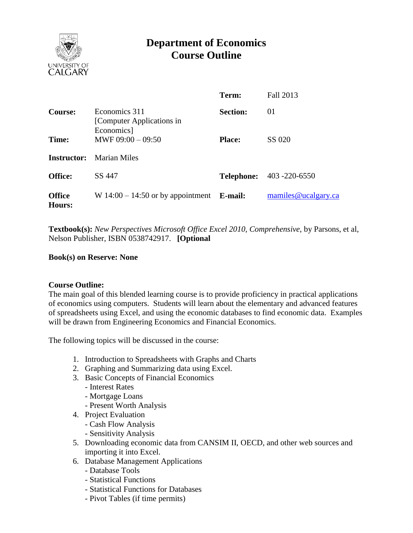

# **Department of Economics Course Outline**

|                         |                                                           | Term:           | Fall 2013                       |
|-------------------------|-----------------------------------------------------------|-----------------|---------------------------------|
| <b>Course:</b>          | Economics 311<br>[Computer Applications in]<br>Economics] | <b>Section:</b> | 01                              |
| Time:                   | MWF $09:00 - 09:50$                                       | <b>Place:</b>   | SS 020                          |
|                         | <b>Instructor:</b> Marian Miles                           |                 |                                 |
| <b>Office:</b>          | SS 447                                                    |                 | <b>Telephone:</b> 403 -220-6550 |
| <b>Office</b><br>Hours: | W $14:00 - 14:50$ or by appointment <b>E-mail:</b>        |                 | mamiles@ucalgary.ca             |

**Textbook(s):** *New Perspectives Microsoft Office Excel 2010, Comprehensive*, by Parsons, et al, Nelson Publisher, ISBN 0538742917. **[Optional**

## **Book(s) on Reserve: None**

#### **Course Outline:**

The main goal of this blended learning course is to provide proficiency in practical applications of economics using computers. Students will learn about the elementary and advanced features of spreadsheets using Excel, and using the economic databases to find economic data. Examples will be drawn from Engineering Economics and Financial Economics.

The following topics will be discussed in the course:

- 1. Introduction to Spreadsheets with Graphs and Charts
- 2. Graphing and Summarizing data using Excel.
- 3. Basic Concepts of Financial Economics
	- Interest Rates
	- Mortgage Loans
	- Present Worth Analysis
- 4. Project Evaluation
	- Cash Flow Analysis
	- Sensitivity Analysis
- 5. Downloading economic data from CANSIM II, OECD, and other web sources and importing it into Excel.
- 6. Database Management Applications
	- Database Tools
	- Statistical Functions
	- Statistical Functions for Databases
	- Pivot Tables (if time permits)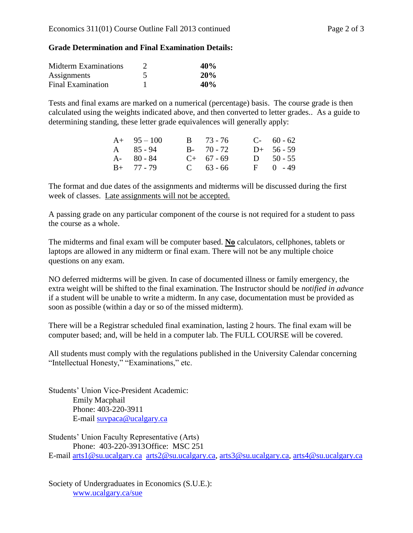#### **Grade Determination and Final Examination Details:**

| <b>Midterm Examinations</b> | 40 <sub>%</sub> |
|-----------------------------|-----------------|
| Assignments                 | 20%             |
| Final Examination           | 40 <sub>%</sub> |

Tests and final exams are marked on a numerical (percentage) basis. The course grade is then calculated using the weights indicated above, and then converted to letter grades.. As a guide to determining standing, these letter grade equivalences will generally apply:

| $A+ 95-100$       | $B = 73 - 76$ | $C-60-62$     |
|-------------------|---------------|---------------|
| $A \quad 85 - 94$ | $B - 70 - 72$ | $D+ 56 - 59$  |
| $A - 80 - 84$     | $C+ 67 - 69$  | $D = 50 - 55$ |
| $B+ 77 - 79$      | $C = 63 - 66$ | $F = 0 - 49$  |

The format and due dates of the assignments and midterms will be discussed during the first week of classes. Late assignments will not be accepted.

A passing grade on any particular component of the course is not required for a student to pass the course as a whole.

The midterms and final exam will be computer based. **No** calculators, cellphones, tablets or laptops are allowed in any midterm or final exam. There will not be any multiple choice questions on any exam.

NO deferred midterms will be given. In case of documented illness or family emergency, the extra weight will be shifted to the final examination. The Instructor should be *notified in advance* if a student will be unable to write a midterm. In any case, documentation must be provided as soon as possible (within a day or so of the missed midterm).

There will be a Registrar scheduled final examination, lasting 2 hours. The final exam will be computer based; and, will be held in a computer lab. The FULL COURSE will be covered.

All students must comply with the regulations published in the University Calendar concerning "Intellectual Honesty," "Examinations," etc.

Students' Union Vice-President Academic: Emily Macphail Phone: 403-220-3911 E-mail [suvpaca@ucalgary.ca](mailto:subpaca@ucalgary.ca)

Students' Union Faculty Representative (Arts) Phone: 403-220-3913Office: MSC 251 E-mail [arts1@su.ucalgary.ca](mailto:arts1@su.ucalgary.ca) [arts2@su.ucalgary.ca,](mailto:arts2@su.ucalgary.ca) [arts3@su.ucalgary.ca,](mailto:arts3@su.ucalgary.ca) [arts4@su.ucalgary.ca](mailto:arts4@su.ucalgary.ca)

Society of Undergraduates in Economics (S.U.E.): [www.ucalgary.ca/sue](http://www.fp.ucalgary.ca/econ)